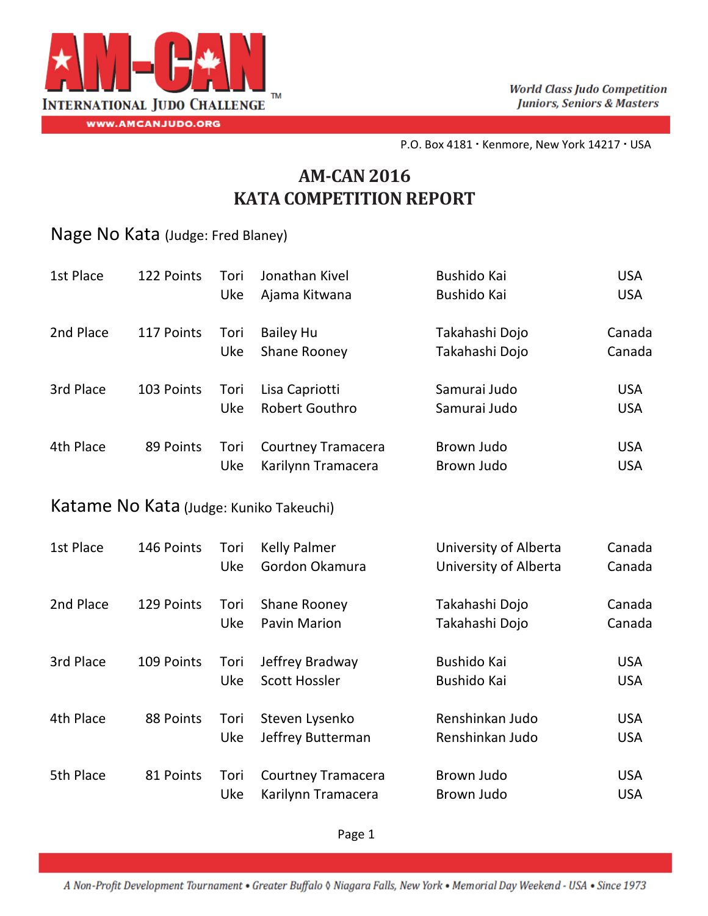

P.O. Box 4181 · Kenmore, New York 14217 · USA

## **AM‐CAN 2016 KATA COMPETITION REPORT**

## Nage No Kata (Judge: Fred Blaney)

| 1st Place                               | 122 Points | Tori<br><b>Uke</b> | Jonathan Kivel<br>Ajama Kitwana                 | Bushido Kai<br>Bushido Kai                     | <b>USA</b><br><b>USA</b> |  |  |
|-----------------------------------------|------------|--------------------|-------------------------------------------------|------------------------------------------------|--------------------------|--|--|
| 2nd Place                               | 117 Points | Tori<br>Uke        | <b>Bailey Hu</b><br><b>Shane Rooney</b>         | Takahashi Dojo<br>Takahashi Dojo               | Canada<br>Canada         |  |  |
| 3rd Place                               | 103 Points | Tori<br>Uke        | Lisa Capriotti<br><b>Robert Gouthro</b>         | Samurai Judo<br>Samurai Judo                   | <b>USA</b><br><b>USA</b> |  |  |
| 4th Place                               | 89 Points  | Tori<br>Uke        | <b>Courtney Tramacera</b><br>Karilynn Tramacera | Brown Judo<br>Brown Judo                       | <b>USA</b><br><b>USA</b> |  |  |
| Katame No Kata (Judge: Kuniko Takeuchi) |            |                    |                                                 |                                                |                          |  |  |
| 1st Place                               | 146 Points | Tori<br>Uke        | <b>Kelly Palmer</b><br>Gordon Okamura           | University of Alberta<br>University of Alberta | Canada<br>Canada         |  |  |
| 2nd Place                               | 129 Points | Tori<br>Uke        | Shane Rooney<br><b>Pavin Marion</b>             | Takahashi Dojo<br>Takahashi Dojo               | Canada<br>Canada         |  |  |
| 3rd Place                               | 109 Points | Tori<br>Uke        | Jeffrey Bradway<br><b>Scott Hossler</b>         | <b>Bushido Kai</b><br>Bushido Kai              | <b>USA</b><br><b>USA</b> |  |  |
| 4th Place                               | 88 Points  | Tori<br>Uke        | Steven Lysenko<br>Jeffrey Butterman             | Renshinkan Judo<br>Renshinkan Judo             | <b>USA</b><br><b>USA</b> |  |  |
| 5th Place                               | 81 Points  | Tori<br>Uke        | <b>Courtney Tramacera</b><br>Karilynn Tramacera | Brown Judo<br>Brown Judo                       | <b>USA</b><br><b>USA</b> |  |  |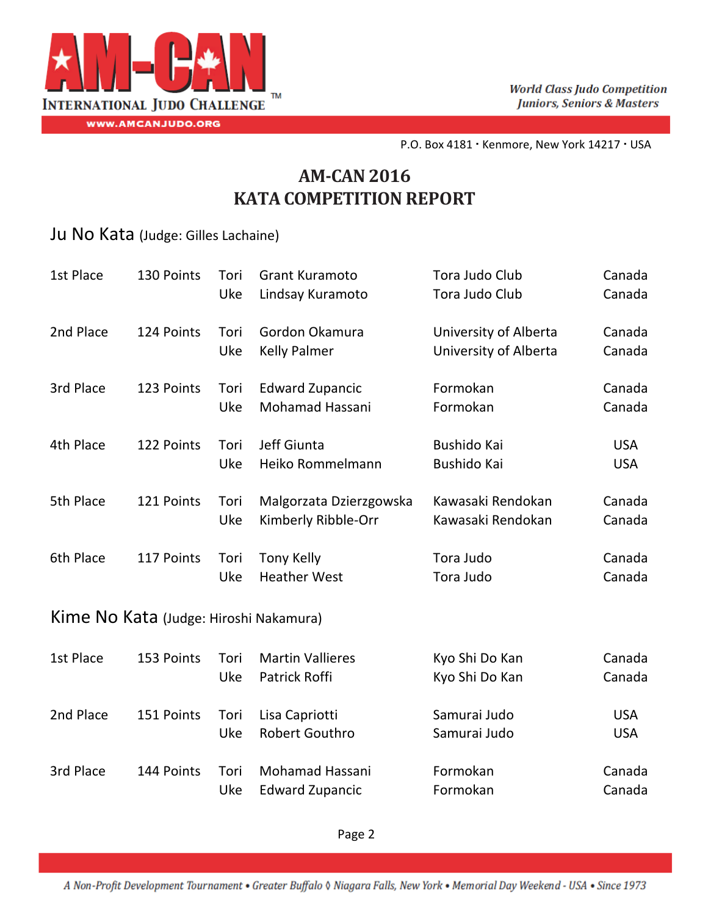

P.O. Box 4181 · Kenmore, New York 14217 · USA

## **AM‐CAN 2016 KATA COMPETITION REPORT**

Ju No Kata (Judge: Gilles Lachaine)

| 1st Place                              | 130 Points | Tori<br>Uke | <b>Grant Kuramoto</b><br>Lindsay Kuramoto      | Tora Judo Club<br>Tora Judo Club               | Canada<br>Canada         |  |  |
|----------------------------------------|------------|-------------|------------------------------------------------|------------------------------------------------|--------------------------|--|--|
| 2nd Place                              | 124 Points | Tori<br>Uke | Gordon Okamura<br><b>Kelly Palmer</b>          | University of Alberta<br>University of Alberta | Canada<br>Canada         |  |  |
| 3rd Place                              | 123 Points | Tori<br>Uke | <b>Edward Zupancic</b><br>Mohamad Hassani      | Formokan<br>Formokan                           | Canada<br>Canada         |  |  |
| 4th Place                              | 122 Points | Tori<br>Uke | Jeff Giunta<br>Heiko Rommelmann                | Bushido Kai<br>Bushido Kai                     | <b>USA</b><br><b>USA</b> |  |  |
| 5th Place                              | 121 Points | Tori<br>Uke | Malgorzata Dzierzgowska<br>Kimberly Ribble-Orr | Kawasaki Rendokan<br>Kawasaki Rendokan         | Canada<br>Canada         |  |  |
| 6th Place                              | 117 Points | Tori<br>Uke | <b>Tony Kelly</b><br><b>Heather West</b>       | Tora Judo<br>Tora Judo                         | Canada<br>Canada         |  |  |
| Kime No Kata (Judge: Hiroshi Nakamura) |            |             |                                                |                                                |                          |  |  |
| 1st Place                              | 153 Points | Tori<br>Uke | <b>Martin Vallieres</b><br>Patrick Roffi       | Kyo Shi Do Kan<br>Kyo Shi Do Kan               | Canada<br>Canada         |  |  |
| 2nd Place                              | 151 Points | Tori<br>Uke | Lisa Capriotti<br><b>Robert Gouthro</b>        | Samurai Judo<br>Samurai Judo                   | <b>USA</b><br><b>USA</b> |  |  |
| 3rd Place                              | 144 Points | Tori<br>Uke | Mohamad Hassani<br><b>Edward Zupancic</b>      | Formokan<br>Formokan                           | Canada<br>Canada         |  |  |